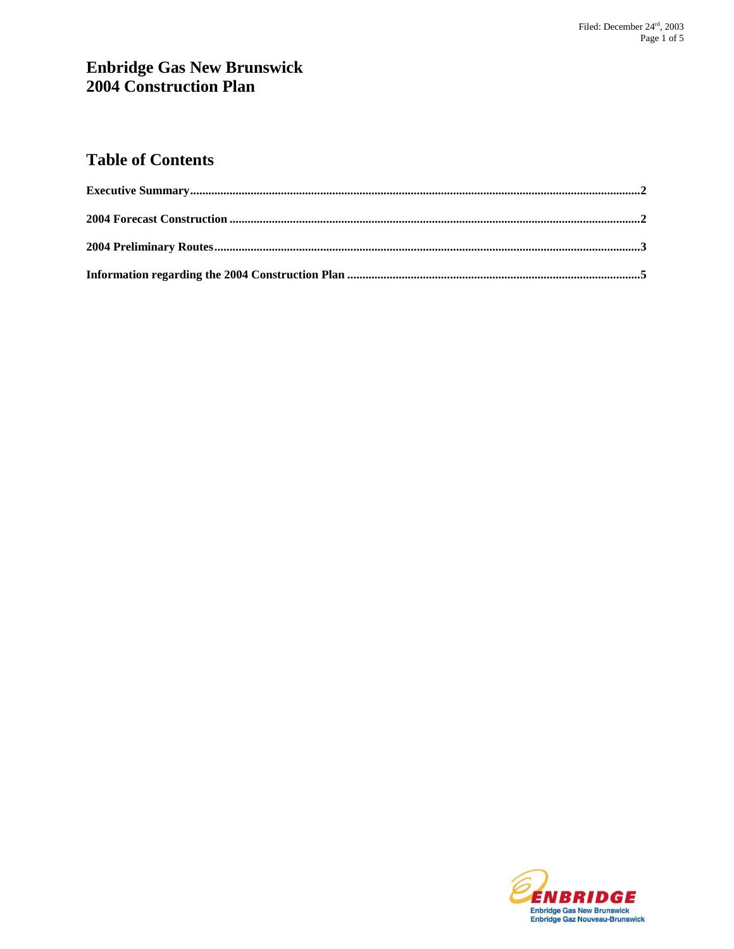# **Enbridge Gas New Brunswick 2004 Construction Plan**

# **Table of Contents**

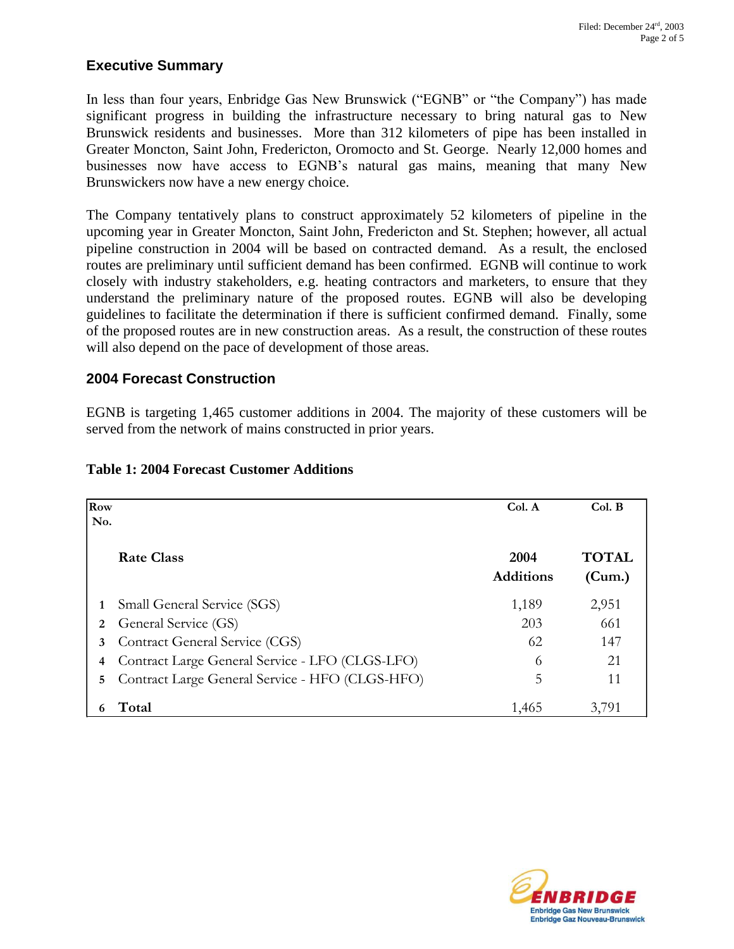## **Executive Summary**

In less than four years, Enbridge Gas New Brunswick ("EGNB" or "the Company") has made significant progress in building the infrastructure necessary to bring natural gas to New Brunswick residents and businesses. More than 312 kilometers of pipe has been installed in Greater Moncton, Saint John, Fredericton, Oromocto and St. George. Nearly 12,000 homes and businesses now have access to EGNB's natural gas mains, meaning that many New Brunswickers now have a new energy choice.

The Company tentatively plans to construct approximately 52 kilometers of pipeline in the upcoming year in Greater Moncton, Saint John, Fredericton and St. Stephen; however, all actual pipeline construction in 2004 will be based on contracted demand. As a result, the enclosed routes are preliminary until sufficient demand has been confirmed. EGNB will continue to work closely with industry stakeholders, e.g. heating contractors and marketers, to ensure that they understand the preliminary nature of the proposed routes. EGNB will also be developing guidelines to facilitate the determination if there is sufficient confirmed demand. Finally, some of the proposed routes are in new construction areas. As a result, the construction of these routes will also depend on the pace of development of those areas.

## **2004 Forecast Construction**

EGNB is targeting 1,465 customer additions in 2004. The majority of these customers will be served from the network of mains constructed in prior years.

| <b>Row</b><br>No. |                                                 | Col. A                   | Col. B                 |
|-------------------|-------------------------------------------------|--------------------------|------------------------|
|                   | Rate Class                                      | 2004<br><b>Additions</b> | <b>TOTAL</b><br>(Cum.) |
|                   | Small General Service (SGS)                     | 1,189                    | 2,951                  |
| 2                 | General Service (GS)                            | 203                      | 661                    |
| 3                 | Contract General Service (CGS)                  | 62                       | 147                    |
| 4                 | Contract Large General Service - LFO (CLGS-LFO) | 6                        | 21                     |
| 5                 | Contract Large General Service - HFO (CLGS-HFO) | 5                        | 11                     |
|                   | Total                                           | 1,465                    | 3.791                  |

### **Table 1: 2004 Forecast Customer Additions**

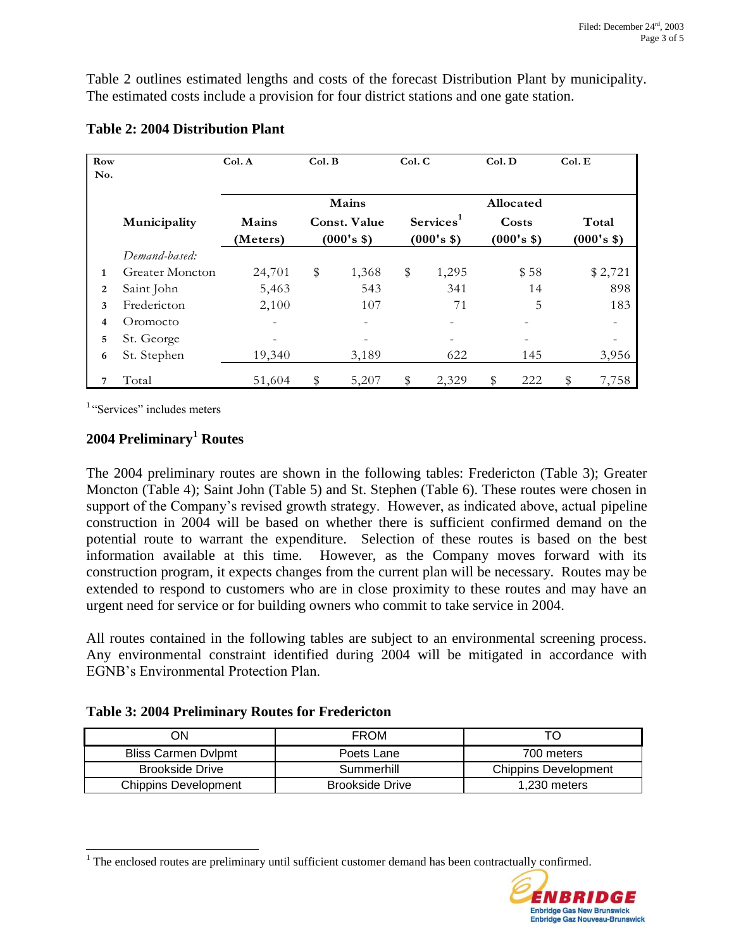Table 2 outlines estimated lengths and costs of the forecast Distribution Plant by municipality. The estimated costs include a provision for four district stations and one gate station.

| Row            |                        | Col. A            | Col. B |                                   | Col. C |                                     | Col. D |                     | Col. E |                          |
|----------------|------------------------|-------------------|--------|-----------------------------------|--------|-------------------------------------|--------|---------------------|--------|--------------------------|
| No.            |                        |                   |        |                                   |        |                                     |        |                     |        |                          |
|                |                        |                   |        | Mains                             |        |                                     |        | Allocated           |        |                          |
|                | Municipality           | Mains<br>(Meters) |        | <b>Const. Value</b><br>(000's \$) |        | Services <sup>1</sup><br>(000's \$) |        | Costs<br>(000's \$) |        | Total<br>(000's \$)      |
|                | Demand-based:          |                   |        |                                   |        |                                     |        |                     |        |                          |
| $\mathbf{1}$   | <b>Greater Moncton</b> | 24,701            | \$     | 1,368                             | \$     | 1,295                               |        | \$58                |        | \$2,721                  |
| $\overline{2}$ | Saint John             | 5,463             |        | 543                               |        | 341                                 |        | 14                  |        | 898                      |
| 3              | Fredericton            | 2,100             |        | 107                               |        | 71                                  |        | 5                   |        | 183                      |
| 4              | Oromocto               | $\qquad \qquad -$ |        |                                   |        | $\qquad \qquad -$                   |        |                     |        | $\overline{\phantom{0}}$ |
| 5              | St. George             |                   |        |                                   |        |                                     |        |                     |        |                          |
| 6              | St. Stephen            | 19,340            |        | 3,189                             |        | 622                                 |        | 145                 |        | 3,956                    |
| 7              | Total                  | 51,604            | \$     | 5,207                             | \$     | 2,329                               | \$     | 222                 | \$     | 7,758                    |

### **Table 2: 2004 Distribution Plant**

<sup>1</sup> "Services" includes meters

l

## **2004 Preliminary<sup>1</sup> Routes**

The 2004 preliminary routes are shown in the following tables: Fredericton (Table 3); Greater Moncton (Table 4); Saint John (Table 5) and St. Stephen (Table 6). These routes were chosen in support of the Company's revised growth strategy. However, as indicated above, actual pipeline construction in 2004 will be based on whether there is sufficient confirmed demand on the potential route to warrant the expenditure. Selection of these routes is based on the best information available at this time. However, as the Company moves forward with its construction program, it expects changes from the current plan will be necessary. Routes may be extended to respond to customers who are in close proximity to these routes and may have an urgent need for service or for building owners who commit to take service in 2004.

All routes contained in the following tables are subject to an environmental screening process. Any environmental constraint identified during 2004 will be mitigated in accordance with EGNB's Environmental Protection Plan.

#### **Table 3: 2004 Preliminary Routes for Fredericton**

| ΟN                     | <b>FROM</b>            |                      |
|------------------------|------------------------|----------------------|
| Bliss Carmen Dvlpmt    | Poets Lane             | 700 meters           |
| <b>Brookside Drive</b> | Summerhill             | Chippins Development |
| Chippins Development   | <b>Brookside Drive</b> | 1.230 meters         |

 $<sup>1</sup>$  The enclosed routes are preliminary until sufficient customer demand has been contractually confirmed.</sup>

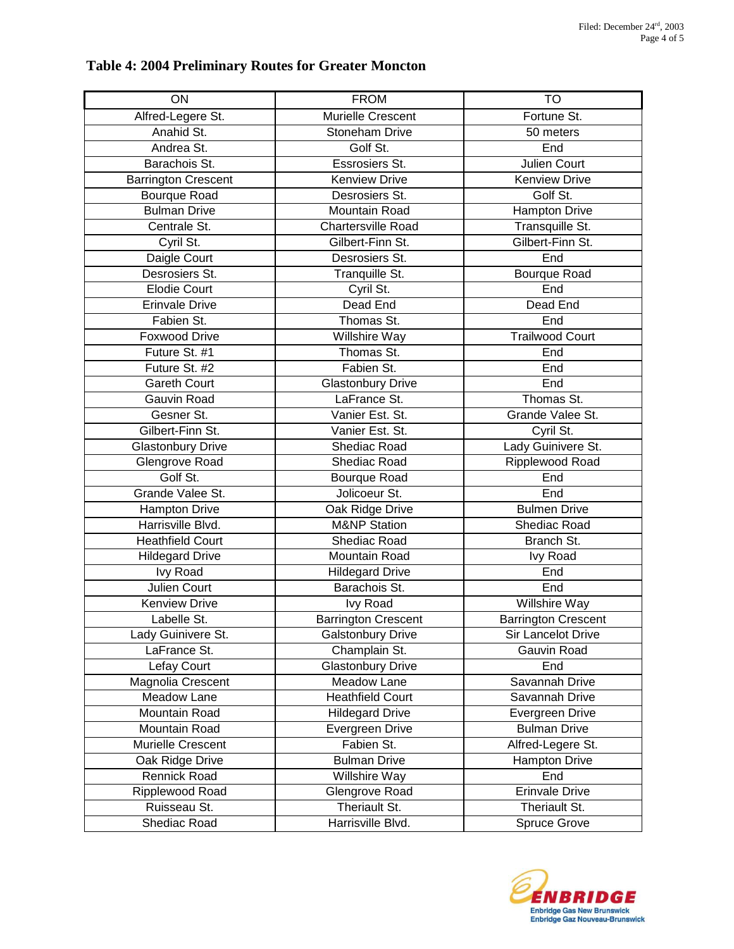## **Table 4: 2004 Preliminary Routes for Greater Moncton**

| ON                         | <b>FROM</b>                | <b>TO</b>                  |
|----------------------------|----------------------------|----------------------------|
| Alfred-Legere St.          | Murielle Crescent          | Fortune St.                |
| Anahid St.                 | Stoneham Drive             | 50 meters                  |
| Andrea St.                 | Golf St.                   | End                        |
| Barachois St.              | Essrosiers St.             | Julien Court               |
| <b>Barrington Crescent</b> | <b>Kenview Drive</b>       | Kenview Drive              |
| <b>Bourque Road</b>        | Desrosiers St.             | Golf St.                   |
| <b>Bulman Drive</b>        | <b>Mountain Road</b>       | <b>Hampton Drive</b>       |
| Centrale St.               | <b>Chartersville Road</b>  | Transquille St.            |
| Cyril St.                  | Gilbert-Finn St.           | Gilbert-Finn St.           |
| Daigle Court               | Desrosiers St.             | End                        |
| Desrosiers St.             | Tranquille St.             | Bourque Road               |
| <b>Elodie Court</b>        | Cyril St.                  | End                        |
| <b>Erinvale Drive</b>      | Dead End                   | Dead End                   |
| Fabien St.                 | Thomas St.                 | End                        |
| <b>Foxwood Drive</b>       | Willshire Way              | <b>Trailwood Court</b>     |
| Future St. #1              | Thomas St.                 | End                        |
| Future St. #2              | Fabien St.                 | End                        |
| <b>Gareth Court</b>        | <b>Glastonbury Drive</b>   | End                        |
| Gauvin Road                | LaFrance St.               | Thomas St.                 |
| Gesner St.                 | Vanier Est. St.            | Grande Valee St.           |
| Gilbert-Finn St.           | Vanier Est. St.            | Cyril St.                  |
| <b>Glastonbury Drive</b>   | Shediac Road               | Lady Guinivere St.         |
| Glengrove Road             | Shediac Road               | Ripplewood Road            |
| Golf St.                   | Bourque Road               | End                        |
| Grande Valee St.           | Jolicoeur St.              | End                        |
| <b>Hampton Drive</b>       | Oak Ridge Drive            | <b>Bulmen Drive</b>        |
| Harrisville Blvd.          | <b>M&amp;NP Station</b>    | Shediac Road               |
| <b>Heathfield Court</b>    | Shediac Road               | Branch St.                 |
| <b>Hildegard Drive</b>     | Mountain Road              | <b>Ivy Road</b>            |
| <b>Ivy Road</b>            | <b>Hildegard Drive</b>     | End                        |
| Julien Court               | Barachois St.              | End                        |
| <b>Kenview Drive</b>       | <b>Ivy Road</b>            | Willshire Way              |
| Labelle St.                | <b>Barrington Crescent</b> | <b>Barrington Crescent</b> |
| Lady Guinivere St.         | <b>Galstonbury Drive</b>   | Sir Lancelot Drive         |
| LaFrance St.               | Champlain St.              | Gauvin Road                |
| Lefay Court                | <b>Glastonbury Drive</b>   | End                        |
| Magnolia Crescent          | Meadow Lane                | Savannah Drive             |
| Meadow Lane                | <b>Heathfield Court</b>    | Savannah Drive             |
| Mountain Road              | <b>Hildegard Drive</b>     | Evergreen Drive            |
| Mountain Road              | Evergreen Drive            | <b>Bulman Drive</b>        |
| Murielle Crescent          | Fabien St.                 | Alfred-Legere St.          |
| Oak Ridge Drive            | <b>Bulman Drive</b>        | <b>Hampton Drive</b>       |
| Rennick Road               | Willshire Way              | End                        |
| Ripplewood Road            | Glengrove Road             | <b>Erinvale Drive</b>      |
| Ruisseau St.               | Theriault St.              | Theriault St.              |
| Shediac Road               | Harrisville Blvd.          | <b>Spruce Grove</b>        |